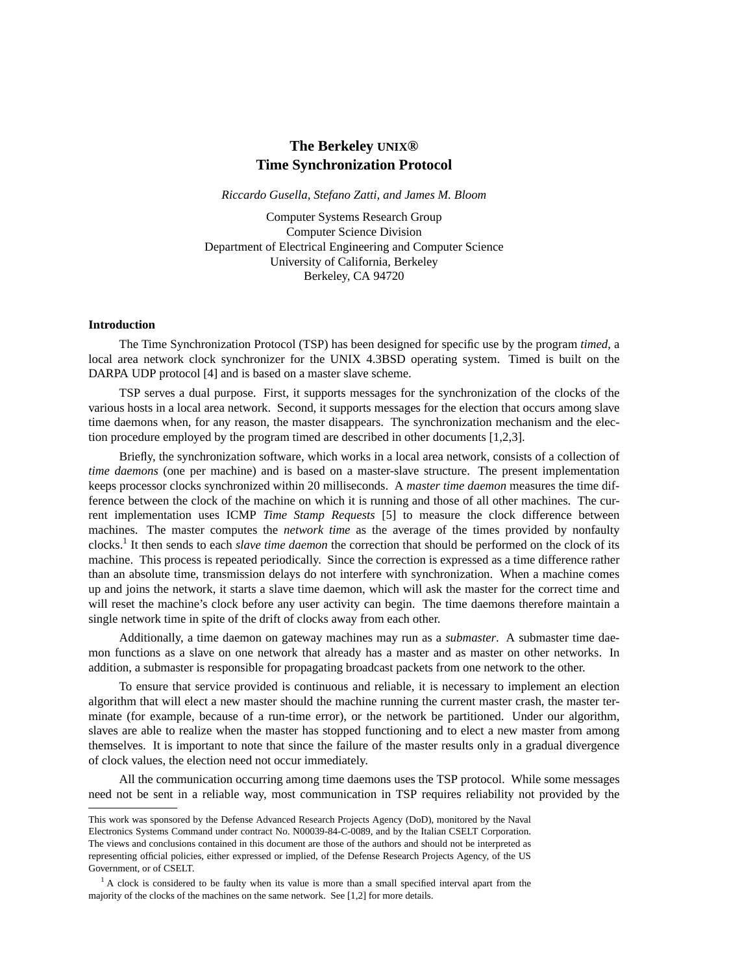# **The Berkeley UNIX® Time Synchronization Protocol**

*Riccardo Gusella, Stefano Zatti, and James M. Bloom*

Computer Systems Research Group Computer Science Division Department of Electrical Engineering and Computer Science University of California, Berkeley Berkeley, CA 94720

### **Introduction**

The Time Synchronization Protocol (TSP) has been designed for specific use by the program *timed*, a local area network clock synchronizer for the UNIX 4.3BSD operating system. Timed is built on the DARPA UDP protocol [4] and is based on a master slave scheme.

TSP serves a dual purpose. First, it supports messages for the synchronization of the clocks of the various hosts in a local area network. Second, it supports messages for the election that occurs among slave time daemons when, for any reason, the master disappears. The synchronization mechanism and the election procedure employed by the program timed are described in other documents [1,2,3].

Briefly, the synchronization software, which works in a local area network, consists of a collection of *time daemons* (one per machine) and is based on a master-slave structure. The present implementation keeps processor clocks synchronized within 20 milliseconds. A *master time daemon* measures the time difference between the clock of the machine on which it is running and those of all other machines. The current implementation uses ICMP *Time Stamp Requests* [5] to measure the clock difference between machines. The master computes the *network time* as the average of the times provided by nonfaulty clocks.1 It then sends to each *slave time daemon* the correction that should be performed on the clock of its machine. This process is repeated periodically. Since the correction is expressed as a time difference rather than an absolute time, transmission delays do not interfere with synchronization. When a machine comes up and joins the network, it starts a slave time daemon, which will ask the master for the correct time and will reset the machine's clock before any user activity can begin. The time daemons therefore maintain a single network time in spite of the drift of clocks away from each other.

Additionally, a time daemon on gateway machines may run as a *submaster*. A submaster time daemon functions as a slave on one network that already has a master and as master on other networks. In addition, a submaster is responsible for propagating broadcast packets from one network to the other.

To ensure that service provided is continuous and reliable, it is necessary to implement an election algorithm that will elect a new master should the machine running the current master crash, the master terminate (for example, because of a run-time error), or the network be partitioned. Under our algorithm, slaves are able to realize when the master has stopped functioning and to elect a new master from among themselves. It is important to note that since the failure of the master results only in a gradual divergence of clock values, the election need not occur immediately.

All the communication occurring among time daemons uses the TSP protocol. While some messages need not be sent in a reliable way, most communication in TSP requires reliability not provided by the

This work was sponsored by the Defense Advanced Research Projects Agency (DoD), monitored by the Naval Electronics Systems Command under contract No. N00039-84-C-0089, and by the Italian CSELT Corporation. The views and conclusions contained in this document are those of the authors and should not be interpreted as representing official policies, either expressed or implied, of the Defense Research Projects Agency, of the US Government, or of CSELT.

 $<sup>1</sup>$  A clock is considered to be faulty when its value is more than a small specified interval apart from the</sup> majority of the clocks of the machines on the same network. See [1,2] for more details.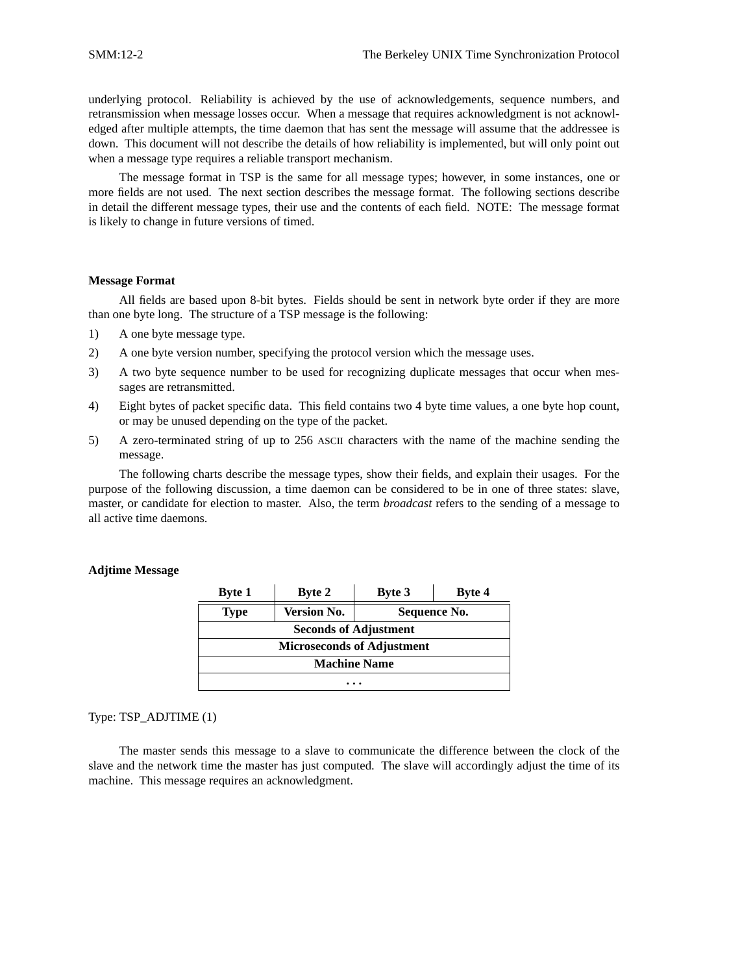underlying protocol. Reliability is achieved by the use of acknowledgements, sequence numbers, and retransmission when message losses occur. When a message that requires acknowledgment is not acknowledged after multiple attempts, the time daemon that has sent the message will assume that the addressee is down. This document will not describe the details of how reliability is implemented, but will only point out when a message type requires a reliable transport mechanism.

The message format in TSP is the same for all message types; however, in some instances, one or more fields are not used. The next section describes the message format. The following sections describe in detail the different message types, their use and the contents of each field. NOTE: The message format is likely to change in future versions of timed.

#### **Message Format**

All fields are based upon 8-bit bytes. Fields should be sent in network byte order if they are more than one byte long. The structure of a TSP message is the following:

- 1) A one byte message type.
- 2) A one byte version number, specifying the protocol version which the message uses.
- 3) A two byte sequence number to be used for recognizing duplicate messages that occur when messages are retransmitted.
- 4) Eight bytes of packet specific data. This field contains two 4 byte time values, a one byte hop count, or may be unused depending on the type of the packet.
- 5) A zero-terminated string of up to 256 ASCII characters with the name of the machine sending the message.

The following charts describe the message types, show their fields, and explain their usages. For the purpose of the following discussion, a time daemon can be considered to be in one of three states: slave, master, or candidate for election to master. Also, the term *broadcast* refers to the sending of a message to all active time daemons.

### **Adjtime Message**

| <b>Byte 1</b> | <b>Byte 2</b>                     | <b>Byte 3</b> | Byte 4 |  |  |  |
|---------------|-----------------------------------|---------------|--------|--|--|--|
| Type          | <b>Version No.</b>                | Sequence No.  |        |  |  |  |
|               | <b>Seconds of Adjustment</b>      |               |        |  |  |  |
|               | <b>Microseconds of Adjustment</b> |               |        |  |  |  |
|               | <b>Machine Name</b>               |               |        |  |  |  |
|               |                                   |               |        |  |  |  |

### Type: TSP\_ADJTIME (1)

The master sends this message to a slave to communicate the difference between the clock of the slave and the network time the master has just computed. The slave will accordingly adjust the time of its machine. This message requires an acknowledgment.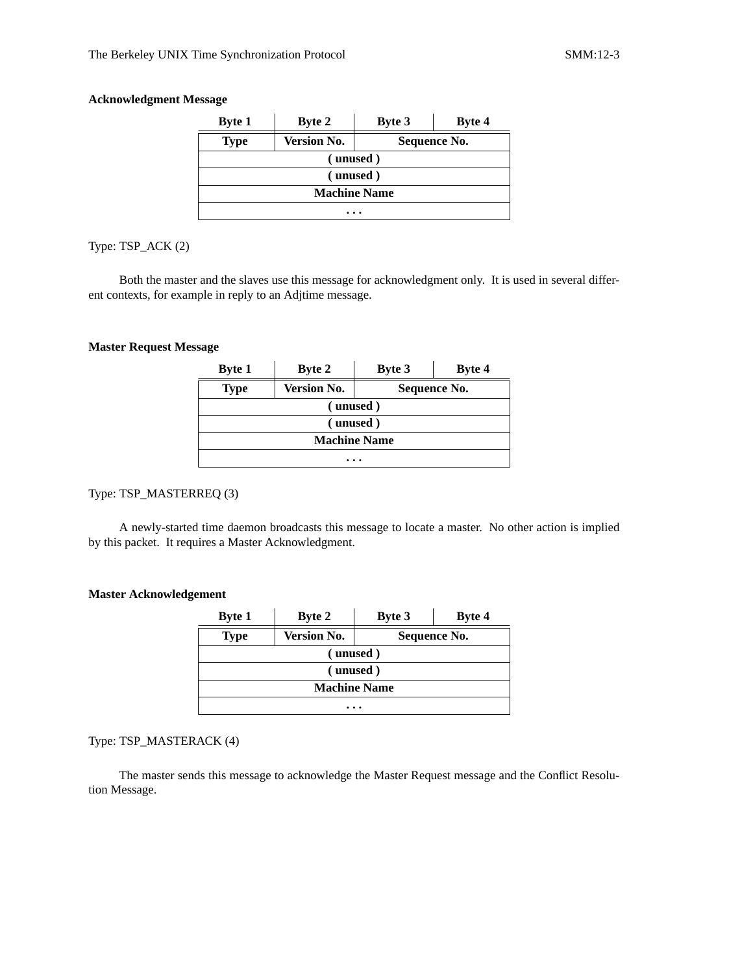# **Acknowledgment Message**

| <b>Byte 1</b>       | <b>Byte 2</b>      | <b>Byte 3</b> | Byte 4 |  |  |  |
|---------------------|--------------------|---------------|--------|--|--|--|
| <b>Type</b>         | <b>Version No.</b> | Sequence No.  |        |  |  |  |
|                     | (unused)           |               |        |  |  |  |
|                     | (unused)           |               |        |  |  |  |
| <b>Machine Name</b> |                    |               |        |  |  |  |
| $\cdots$            |                    |               |        |  |  |  |

Type: TSP\_ACK (2)

Both the master and the slaves use this message for acknowledgment only. It is used in several different contexts, for example in reply to an Adjtime message.

### **Master Request Message**

| <b>Byte 1</b>       | <b>Byte 2</b>      | <b>Byte 3</b> | Byte 4 |  |  |  |
|---------------------|--------------------|---------------|--------|--|--|--|
| <b>Type</b>         | <b>Version No.</b> | Sequence No.  |        |  |  |  |
| (unused)            |                    |               |        |  |  |  |
|                     | (unused)           |               |        |  |  |  |
| <b>Machine Name</b> |                    |               |        |  |  |  |
| .                   |                    |               |        |  |  |  |

# Type: TSP\_MASTERREQ (3)

A newly-started time daemon broadcasts this message to locate a master. No other action is implied by this packet. It requires a Master Acknowledgment.

# **Master Acknowledgement**

| <b>Byte 1</b> | <b>Byte 2</b>                      | <b>Byte 3</b> | Byte 4 |  |  |  |
|---------------|------------------------------------|---------------|--------|--|--|--|
| <b>Type</b>   | <b>Version No.</b><br>Sequence No. |               |        |  |  |  |
|               | (unused)                           |               |        |  |  |  |
|               | (unused)                           |               |        |  |  |  |
|               | <b>Machine Name</b>                |               |        |  |  |  |
|               |                                    |               |        |  |  |  |

# Type: TSP\_MASTERACK (4)

The master sends this message to acknowledge the Master Request message and the Conflict Resolution Message.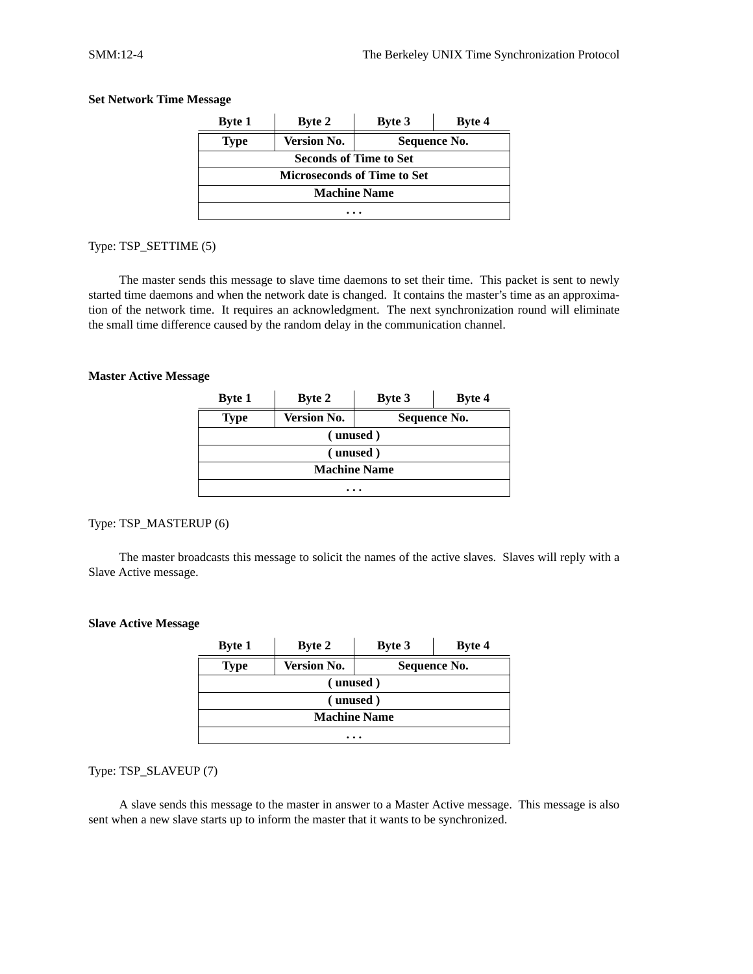| <b>Byte 1</b>                      | <b>Byte 2</b>      | <b>Byte 3</b> | <b>Byte 4</b> |  |  |
|------------------------------------|--------------------|---------------|---------------|--|--|
| <b>Type</b>                        | <b>Version No.</b> | Sequence No.  |               |  |  |
| <b>Seconds of Time to Set</b>      |                    |               |               |  |  |
| <b>Microseconds of Time to Set</b> |                    |               |               |  |  |
| <b>Machine Name</b>                |                    |               |               |  |  |
|                                    |                    |               |               |  |  |

### **Set Network Time Message**

#### Type: TSP\_SETTIME (5)

The master sends this message to slave time daemons to set their time. This packet is sent to newly started time daemons and when the network date is changed. It contains the master's time as an approximation of the network time. It requires an acknowledgment. The next synchronization round will eliminate the small time difference caused by the random delay in the communication channel.

#### **Master Active Message**

| <b>Byte 1</b> | <b>Byte 2</b>       | <b>Byte 3</b> | Byte 4       |  |  |  |
|---------------|---------------------|---------------|--------------|--|--|--|
| <b>Type</b>   | <b>Version No.</b>  |               | Sequence No. |  |  |  |
|               | (unused)            |               |              |  |  |  |
|               | (unused)            |               |              |  |  |  |
|               | <b>Machine Name</b> |               |              |  |  |  |
|               |                     |               |              |  |  |  |

# Type: TSP\_MASTERUP (6)

The master broadcasts this message to solicit the names of the active slaves. Slaves will reply with a Slave Active message.

### **Slave Active Message**

| <b>Byte 1</b>       | <b>Byte 2</b>      | Byte 3       | Byte 4 |  |  |
|---------------------|--------------------|--------------|--------|--|--|
| <b>Type</b>         | <b>Version No.</b> | Sequence No. |        |  |  |
|                     | (unused)           |              |        |  |  |
|                     | (unused)           |              |        |  |  |
| <b>Machine Name</b> |                    |              |        |  |  |
| $\cdots$            |                    |              |        |  |  |

Type: TSP\_SLAVEUP (7)

A slave sends this message to the master in answer to a Master Active message. This message is also sent when a new slave starts up to inform the master that it wants to be synchronized.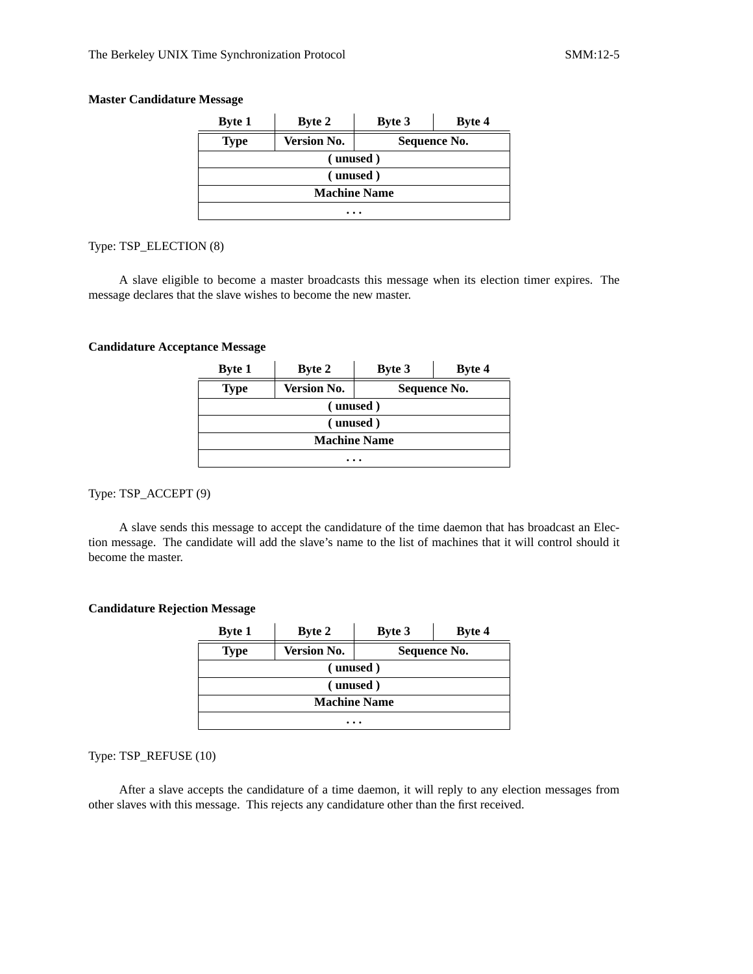### **Master Candidature Message**

| <b>Byte 1</b>       | <b>Byte 2</b>                      | <b>Byte 3</b> | Byte 4 |  |  |
|---------------------|------------------------------------|---------------|--------|--|--|
| <b>Type</b>         | <b>Version No.</b><br>Sequence No. |               |        |  |  |
| (unused)            |                                    |               |        |  |  |
|                     | (unused)                           |               |        |  |  |
| <b>Machine Name</b> |                                    |               |        |  |  |
| .                   |                                    |               |        |  |  |

Type: TSP\_ELECTION (8)

A slave eligible to become a master broadcasts this message when its election timer expires. The message declares that the slave wishes to become the new master.

#### **Candidature Acceptance Message**

| <b>Byte 1</b>       | <b>Byte 2</b>      | <b>Byte 3</b> | Byte 4 |  |  |  |
|---------------------|--------------------|---------------|--------|--|--|--|
| <b>Type</b>         | <b>Version No.</b> | Sequence No.  |        |  |  |  |
|                     | (unused)           |               |        |  |  |  |
|                     | (unused)           |               |        |  |  |  |
| <b>Machine Name</b> |                    |               |        |  |  |  |
|                     | $\cdots$           |               |        |  |  |  |

# Type: TSP\_ACCEPT (9)

A slave sends this message to accept the candidature of the time daemon that has broadcast an Election message. The candidate will add the slave's name to the list of machines that it will control should it become the master.

### **Candidature Rejection Message**

| <b>Byte 1</b>       | <b>Byte 2</b>                      | Byte 3 | Byte 4 |  |  |
|---------------------|------------------------------------|--------|--------|--|--|
| <b>Type</b>         | <b>Version No.</b><br>Sequence No. |        |        |  |  |
| (unused)            |                                    |        |        |  |  |
|                     | (unused)                           |        |        |  |  |
| <b>Machine Name</b> |                                    |        |        |  |  |
|                     |                                    |        |        |  |  |

Type: TSP\_REFUSE (10)

After a slave accepts the candidature of a time daemon, it will reply to any election messages from other slaves with this message. This rejects any candidature other than the first received.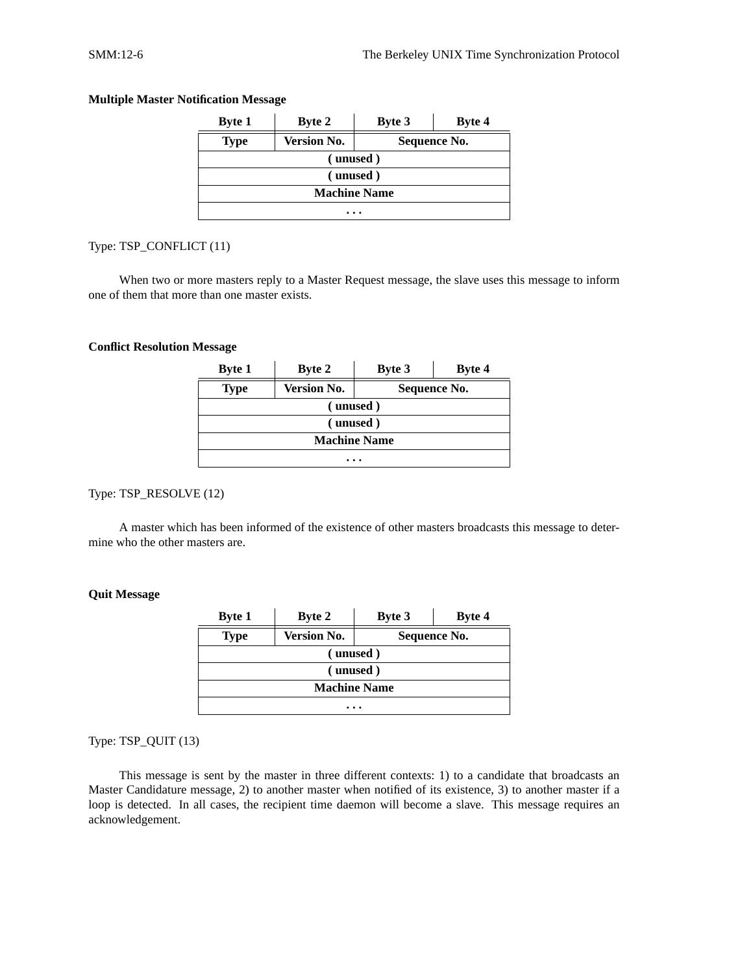| <b>Byte 1</b>       | <b>Byte 2</b>      | <b>Byte 3</b> | Byte 4 |  |  |
|---------------------|--------------------|---------------|--------|--|--|
| <b>Type</b>         | <b>Version No.</b> | Sequence No.  |        |  |  |
|                     | (unused)           |               |        |  |  |
|                     | (unused)           |               |        |  |  |
| <b>Machine Name</b> |                    |               |        |  |  |
|                     | $\cdots$           |               |        |  |  |

### **Multiple Master Notification Message**

### Type: TSP\_CONFLICT (11)

When two or more masters reply to a Master Request message, the slave uses this message to inform one of them that more than one master exists.

#### **Conflict Resolution Message**

| <b>Byte 1</b>       | <b>Byte 2</b>      | <b>Byte 3</b> | <b>Byte 4</b> |  |  |  |
|---------------------|--------------------|---------------|---------------|--|--|--|
| <b>Type</b>         | <b>Version No.</b> | Sequence No.  |               |  |  |  |
| (unused)            |                    |               |               |  |  |  |
|                     | (unused)           |               |               |  |  |  |
| <b>Machine Name</b> |                    |               |               |  |  |  |
| .                   |                    |               |               |  |  |  |

# Type: TSP\_RESOLVE (12)

A master which has been informed of the existence of other masters broadcasts this message to determine who the other masters are.

### **Quit Message**

| <b>Byte 1</b>       | <b>Byte 2</b>      | <b>Byte 3</b> | Byte 4 |  |
|---------------------|--------------------|---------------|--------|--|
| <b>Type</b>         | <b>Version No.</b> | Sequence No.  |        |  |
| (unused)            |                    |               |        |  |
| (unused)            |                    |               |        |  |
| <b>Machine Name</b> |                    |               |        |  |
|                     |                    |               |        |  |

# Type: TSP\_QUIT (13)

This message is sent by the master in three different contexts: 1) to a candidate that broadcasts an Master Candidature message, 2) to another master when notified of its existence, 3) to another master if a loop is detected. In all cases, the recipient time daemon will become a slave. This message requires an acknowledgement.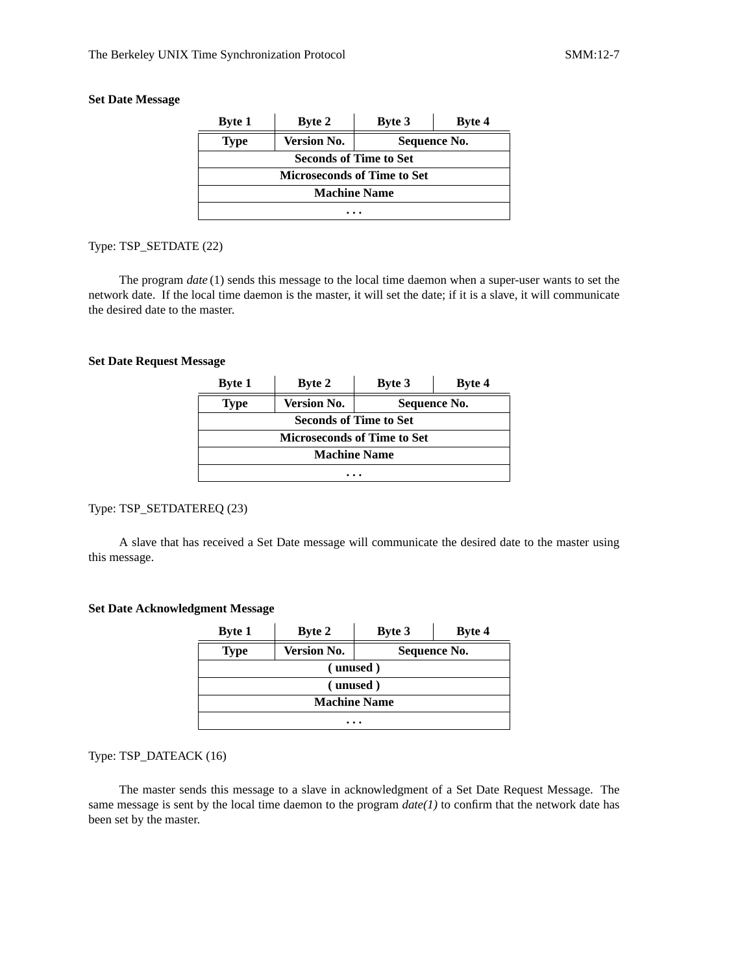### **Set Date Message**

| <b>Byte 1</b>                      | <b>Byte 2</b>                 | <b>Byte 3</b> | Byte 4 |  |  |
|------------------------------------|-------------------------------|---------------|--------|--|--|
| <b>Type</b>                        | <b>Version No.</b>            | Sequence No.  |        |  |  |
|                                    | <b>Seconds of Time to Set</b> |               |        |  |  |
| <b>Microseconds of Time to Set</b> |                               |               |        |  |  |
| <b>Machine Name</b>                |                               |               |        |  |  |
|                                    |                               |               |        |  |  |

# Type: TSP\_SETDATE (22)

The program *date* (1) sends this message to the local time daemon when a super-user wants to set the network date. If the local time daemon is the master, it will set the date; if it is a slave, it will communicate the desired date to the master.

### **Set Date Request Message**

| <b>Byte 1</b>                      | <b>Byte 2</b>      | <b>Byte 3</b> | Byte 4 |  |
|------------------------------------|--------------------|---------------|--------|--|
| <b>Type</b>                        | <b>Version No.</b> | Sequence No.  |        |  |
| <b>Seconds of Time to Set</b>      |                    |               |        |  |
| <b>Microseconds of Time to Set</b> |                    |               |        |  |
| <b>Machine Name</b>                |                    |               |        |  |
|                                    |                    |               |        |  |

# Type: TSP\_SETDATEREQ (23)

A slave that has received a Set Date message will communicate the desired date to the master using this message.

#### **Set Date Acknowledgment Message**

| <b>Byte 1</b>       | <b>Byte 2</b>      | Byte 3       | Byte 4 |  |  |
|---------------------|--------------------|--------------|--------|--|--|
| <b>Type</b>         | <b>Version No.</b> | Sequence No. |        |  |  |
|                     | (unused)           |              |        |  |  |
| (unused)            |                    |              |        |  |  |
| <b>Machine Name</b> |                    |              |        |  |  |
| $\cdots$            |                    |              |        |  |  |

### Type: TSP\_DATEACK (16)

The master sends this message to a slave in acknowledgment of a Set Date Request Message. The same message is sent by the local time daemon to the program *date(1)* to confirm that the network date has been set by the master.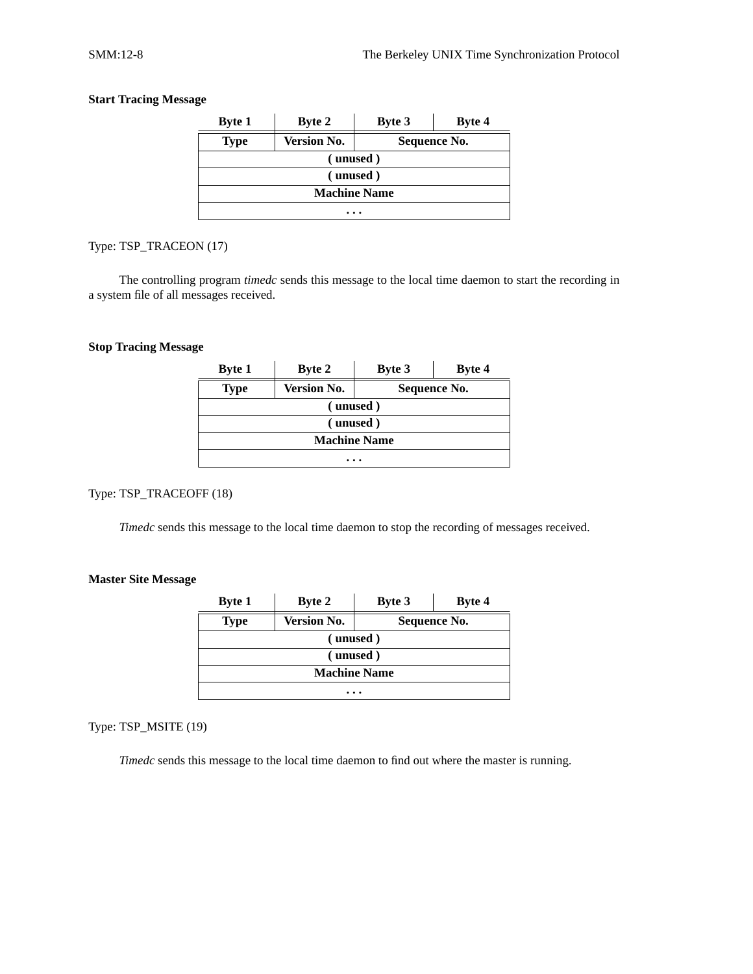# **Start Tracing Message**

| <b>Byte 1</b>       | <b>Byte 2</b>      | <b>Byte 3</b> | <b>Byte 4</b> |  |  |
|---------------------|--------------------|---------------|---------------|--|--|
| <b>Type</b>         | <b>Version No.</b> | Sequence No.  |               |  |  |
|                     | (unused)           |               |               |  |  |
|                     | (unused)           |               |               |  |  |
| <b>Machine Name</b> |                    |               |               |  |  |
| .                   |                    |               |               |  |  |

# Type: TSP\_TRACEON (17)

The controlling program *timedc* sends this message to the local time daemon to start the recording in a system file of all messages received.

### **Stop Tracing Message**

| <b>Byte 1</b>       | <b>Byte 2</b>      | <b>Byte 3</b> | Byte 4 |  |  |
|---------------------|--------------------|---------------|--------|--|--|
| <b>Type</b>         | <b>Version No.</b> | Sequence No.  |        |  |  |
|                     | (unused)           |               |        |  |  |
| (unused)            |                    |               |        |  |  |
| <b>Machine Name</b> |                    |               |        |  |  |
| .                   |                    |               |        |  |  |

# Type: TSP\_TRACEOFF (18)

*Timedc* sends this message to the local time daemon to stop the recording of messages received.

# **Master Site Message**

| <b>Byte 1</b> | <b>Byte 2</b>       | <b>Byte 3</b> | <b>Byte 4</b> |  |  |
|---------------|---------------------|---------------|---------------|--|--|
| <b>Type</b>   | <b>Version No.</b>  | Sequence No.  |               |  |  |
|               | (unused)            |               |               |  |  |
|               | (unused)            |               |               |  |  |
|               | <b>Machine Name</b> |               |               |  |  |
|               | .                   |               |               |  |  |

Type: TSP\_MSITE (19)

*Timedc* sends this message to the local time daemon to find out where the master is running.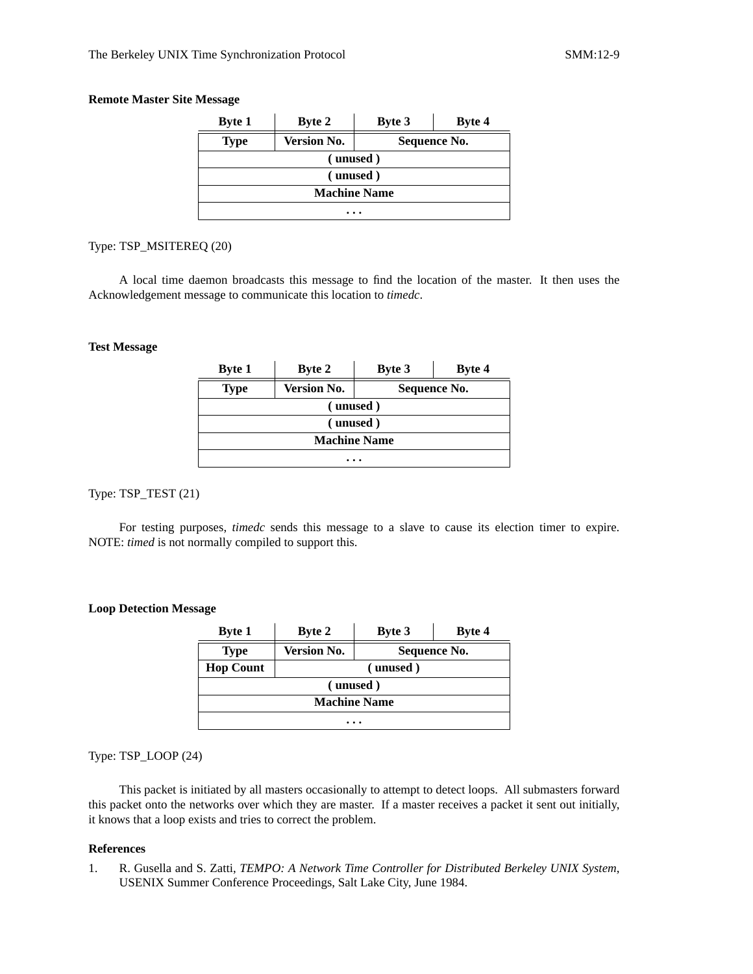### **Remote Master Site Message**

| <b>Byte 1</b>       | <b>Byte 2</b>      | <b>Byte 3</b> | Byte 4 |  |  |
|---------------------|--------------------|---------------|--------|--|--|
| <b>Type</b>         | <b>Version No.</b> | Sequence No.  |        |  |  |
|                     | (unused)           |               |        |  |  |
|                     | (unused)           |               |        |  |  |
| <b>Machine Name</b> |                    |               |        |  |  |
| .                   |                    |               |        |  |  |

#### Type: TSP\_MSITEREQ (20)

A local time daemon broadcasts this message to find the location of the master. It then uses the Acknowledgement message to communicate this location to *timedc*.

#### **Test Message**

| <b>Byte 1</b>       | <b>Byte 2</b>      | <b>Byte 3</b> | Byte 4 |  |
|---------------------|--------------------|---------------|--------|--|
| <b>Type</b>         | <b>Version No.</b> | Sequence No.  |        |  |
| (unused)            |                    |               |        |  |
| (unused)            |                    |               |        |  |
| <b>Machine Name</b> |                    |               |        |  |
| $\cdots$            |                    |               |        |  |

# Type: TSP\_TEST (21)

For testing purposes, *timedc* sends this message to a slave to cause its election timer to expire. NOTE: *timed* is not normally compiled to support this.

#### **Loop Detection Message**

| <b>Byte 1</b>       | <b>Byte 2</b>      | <b>Byte 3</b> | Byte 4 |  |
|---------------------|--------------------|---------------|--------|--|
| <b>Type</b>         | <b>Version No.</b> | Sequence No.  |        |  |
| <b>Hop Count</b>    | (unused)           |               |        |  |
| (unused)            |                    |               |        |  |
| <b>Machine Name</b> |                    |               |        |  |
|                     |                    |               |        |  |

Type: TSP\_LOOP (24)

This packet is initiated by all masters occasionally to attempt to detect loops. All submasters forward this packet onto the networks over which they are master. If a master receives a packet it sent out initially, it knows that a loop exists and tries to correct the problem.

#### **References**

1. R. Gusella and S. Zatti, *TEMPO: A Network Time Controller for Distributed Berkeley UNIX System*, USENIX Summer Conference Proceedings, Salt Lake City, June 1984.